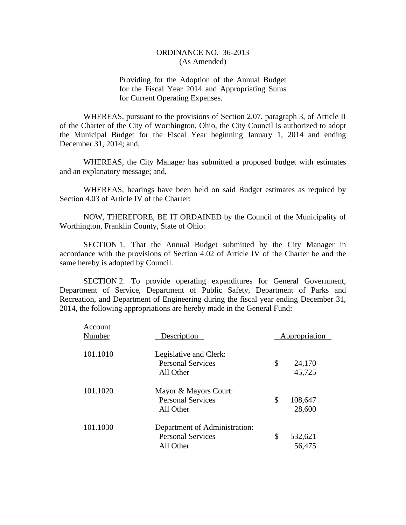Providing for the Adoption of the Annual Budget for the Fiscal Year 2014 and Appropriating Sums for Current Operating Expenses.

WHEREAS, pursuant to the provisions of Section 2.07, paragraph 3, of Article II of the Charter of the City of Worthington, Ohio, the City Council is authorized to adopt the Municipal Budget for the Fiscal Year beginning January 1, 2014 and ending December 31, 2014; and,

WHEREAS, the City Manager has submitted a proposed budget with estimates and an explanatory message; and,

WHEREAS, hearings have been held on said Budget estimates as required by Section 4.03 of Article IV of the Charter;

NOW, THEREFORE, BE IT ORDAINED by the Council of the Municipality of Worthington, Franklin County, State of Ohio:

SECTION 1. That the Annual Budget submitted by the City Manager in accordance with the provisions of Section 4.02 of Article IV of the Charter be and the same hereby is adopted by Council.

SECTION 2. To provide operating expenditures for General Government, Department of Service, Department of Public Safety, Department of Parks and Recreation, and Department of Engineering during the fiscal year ending December 31, 2014, the following appropriations are hereby made in the General Fund:

| Account<br>Number | Description                                                            | Appropriation           |
|-------------------|------------------------------------------------------------------------|-------------------------|
| 101.1010          | Legislative and Clerk:<br><b>Personal Services</b><br>All Other        | \$<br>24,170<br>45,725  |
| 101.1020          | Mayor & Mayors Court:<br><b>Personal Services</b><br>All Other         | \$<br>108,647<br>28,600 |
| 101.1030          | Department of Administration:<br><b>Personal Services</b><br>All Other | \$<br>532,621<br>56,475 |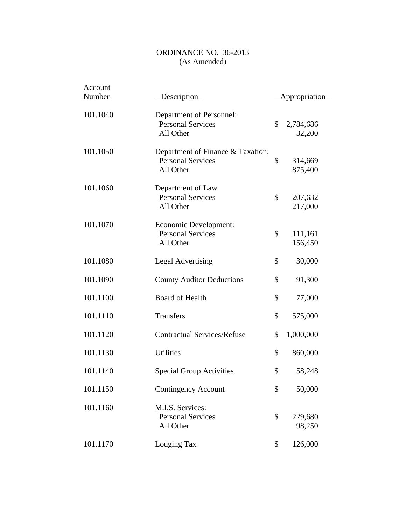| Account<br>Number | Description                                                                | Appropriation             |
|-------------------|----------------------------------------------------------------------------|---------------------------|
| 101.1040          | Department of Personnel:<br><b>Personal Services</b><br>All Other          | \$<br>2,784,686<br>32,200 |
| 101.1050          | Department of Finance & Taxation:<br><b>Personal Services</b><br>All Other | \$<br>314,669<br>875,400  |
| 101.1060          | Department of Law<br><b>Personal Services</b><br>All Other                 | \$<br>207,632<br>217,000  |
| 101.1070          | Economic Development:<br><b>Personal Services</b><br>All Other             | \$<br>111,161<br>156,450  |
| 101.1080          | <b>Legal Advertising</b>                                                   | \$<br>30,000              |
| 101.1090          | <b>County Auditor Deductions</b>                                           | \$<br>91,300              |
| 101.1100          | <b>Board of Health</b>                                                     | \$<br>77,000              |
| 101.1110          | <b>Transfers</b>                                                           | \$<br>575,000             |
| 101.1120          | <b>Contractual Services/Refuse</b>                                         | \$<br>1,000,000           |
| 101.1130          | <b>Utilities</b>                                                           | \$<br>860,000             |
| 101.1140          | <b>Special Group Activities</b>                                            | \$<br>58,248              |
| 101.1150          | <b>Contingency Account</b>                                                 | \$<br>50,000              |
| 101.1160          | M.I.S. Services:<br><b>Personal Services</b><br>All Other                  | \$<br>229,680<br>98,250   |
| 101.1170          | Lodging Tax                                                                | \$<br>126,000             |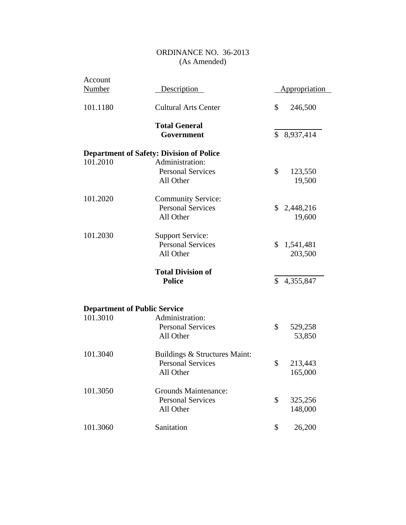| Account                             |                                                 |               |                      |
|-------------------------------------|-------------------------------------------------|---------------|----------------------|
| <b>Number</b>                       | Description                                     |               | <b>Appropriation</b> |
| 101.1180                            | <b>Cultural Arts Center</b>                     | \$            | 246,500              |
|                                     | <b>Total General</b>                            |               |                      |
|                                     | Government                                      | $\mathcal{S}$ | 8,937,414            |
|                                     | <b>Department of Safety: Division of Police</b> |               |                      |
| 101.2010                            | Administration:                                 |               |                      |
|                                     | <b>Personal Services</b>                        | \$            | 123,550              |
|                                     | All Other                                       |               | 19,500               |
| 101.2020                            | <b>Community Service:</b>                       |               |                      |
|                                     | <b>Personal Services</b>                        |               | \$2,448,216          |
|                                     | All Other                                       |               | 19,600               |
| 101.2030                            | <b>Support Service:</b>                         |               |                      |
|                                     | <b>Personal Services</b>                        | \$            | 1,541,481            |
|                                     | All Other                                       |               | 203,500              |
|                                     | <b>Total Division of</b>                        |               |                      |
|                                     | <b>Police</b>                                   | $\mathbb{S}$  | 4,355,847            |
|                                     |                                                 |               |                      |
| <b>Department of Public Service</b> |                                                 |               |                      |
| 101.3010                            | Administration:                                 |               |                      |
|                                     | <b>Personal Services</b>                        | \$            | 529,258              |
|                                     | All Other                                       |               | 53,850               |
| 101.3040                            | Buildings & Structures Maint:                   |               |                      |
|                                     | <b>Personal Services</b>                        | \$            | 213,443              |
|                                     | All Other                                       |               | 165,000              |
| 101.3050                            | <b>Grounds Maintenance:</b>                     |               |                      |
|                                     | <b>Personal Services</b>                        | \$            | 325,256              |
|                                     | All Other                                       |               | 148,000              |
| 101.3060                            | Sanitation                                      | \$            | 26,200               |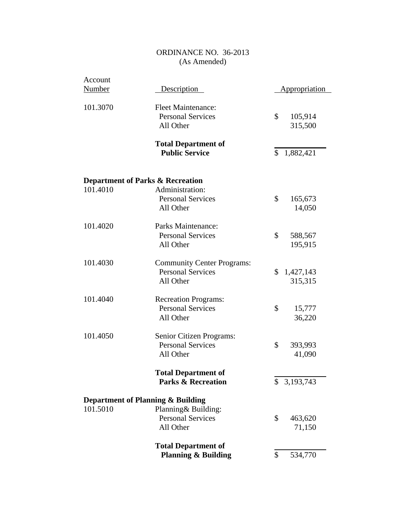| Account       |                                              |                      |
|---------------|----------------------------------------------|----------------------|
| <b>Number</b> | Description                                  | <b>Appropriation</b> |
| 101.3070      | <b>Fleet Maintenance:</b>                    |                      |
|               | <b>Personal Services</b>                     | \$<br>105,914        |
|               | All Other                                    | 315,500              |
|               |                                              |                      |
|               | <b>Total Department of</b>                   |                      |
|               | <b>Public Service</b>                        | \$<br>1,882,421      |
|               |                                              |                      |
|               | <b>Department of Parks &amp; Recreation</b>  |                      |
| 101.4010      | Administration:                              |                      |
|               | <b>Personal Services</b>                     | \$<br>165,673        |
|               | All Other                                    | 14,050               |
|               |                                              |                      |
| 101.4020      | Parks Maintenance:                           |                      |
|               | <b>Personal Services</b>                     | \$<br>588,567        |
|               | All Other                                    | 195,915              |
| 101.4030      | <b>Community Center Programs:</b>            |                      |
|               | <b>Personal Services</b>                     | \$<br>1,427,143      |
|               | All Other                                    | 315,315              |
|               |                                              |                      |
| 101.4040      | <b>Recreation Programs:</b>                  |                      |
|               | <b>Personal Services</b>                     | \$<br>15,777         |
|               | All Other                                    | 36,220               |
| 101.4050      | Senior Citizen Programs:                     |                      |
|               | <b>Personal Services</b>                     | \$<br>393,993        |
|               | All Other                                    | 41,090               |
|               |                                              |                      |
|               | <b>Total Department of</b>                   |                      |
|               | <b>Parks &amp; Recreation</b>                | \$<br>3,193,743      |
|               | <b>Department of Planning &amp; Building</b> |                      |
| 101.5010      | Planning& Building:                          |                      |
|               | <b>Personal Services</b>                     | \$<br>463,620        |
|               | All Other                                    | 71,150               |
|               |                                              |                      |
|               | <b>Total Department of</b>                   |                      |
|               | <b>Planning &amp; Building</b>               | \$<br>534,770        |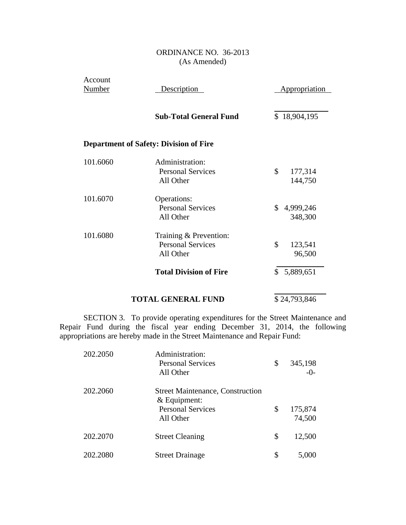| Account<br><b>Number</b> | Description                                                     | <b>Appropriation</b>       |
|--------------------------|-----------------------------------------------------------------|----------------------------|
|                          | <b>Sub-Total General Fund</b>                                   | \$18,904,195               |
|                          | <b>Department of Safety: Division of Fire</b>                   |                            |
| 101.6060                 | Administration:<br><b>Personal Services</b><br>All Other        | \$<br>177,314<br>144,750   |
| 101.6070                 | Operations:<br><b>Personal Services</b><br>All Other            | \$<br>4,999,246<br>348,300 |
| 101.6080                 | Training & Prevention:<br><b>Personal Services</b><br>All Other | \$<br>123,541<br>96,500    |
|                          | <b>Total Division of Fire</b>                                   | 5,889,651<br>\$            |
|                          | <b>TOTAL GENERAL FUND</b>                                       | \$24,793,846               |

SECTION 3. To provide operating expenditures for the Street Maintenance and Repair Fund during the fiscal year ending December 31, 2014, the following appropriations are hereby made in the Street Maintenance and Repair Fund:

| 202.2050 | Administration:<br><b>Personal Services</b><br>All Other                                           | \$<br>345,198<br>$-0-$  |
|----------|----------------------------------------------------------------------------------------------------|-------------------------|
| 202.2060 | <b>Street Maintenance, Construction</b><br>$&$ Equipment:<br><b>Personal Services</b><br>All Other | \$<br>175,874<br>74,500 |
| 202.2070 | <b>Street Cleaning</b>                                                                             | \$<br>12,500            |
| 202.2080 | <b>Street Drainage</b>                                                                             | \$<br>5,000             |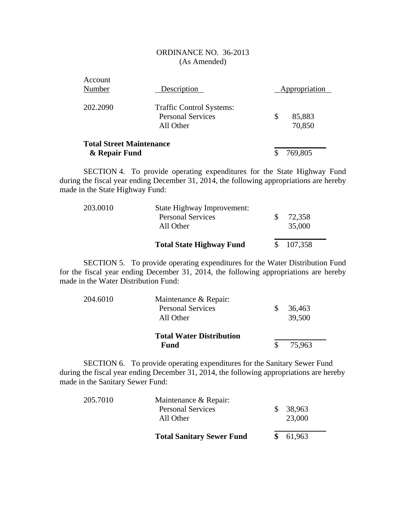| Account<br>Number                                | Description                                                              | Appropriation          |
|--------------------------------------------------|--------------------------------------------------------------------------|------------------------|
| 202.2090                                         | <b>Traffic Control Systems:</b><br><b>Personal Services</b><br>All Other | \$<br>85,883<br>70,850 |
| <b>Total Street Maintenance</b><br>& Repair Fund |                                                                          | 769,805                |

SECTION 4. To provide operating expenditures for the State Highway Fund during the fiscal year ending December 31, 2014, the following appropriations are hereby made in the State Highway Fund:

| 203.0010 | State Highway Improvement:<br><b>Personal Services</b><br>All Other | 72,358<br>35,000 |  |
|----------|---------------------------------------------------------------------|------------------|--|
|          | <b>Total State Highway Fund</b>                                     | \$107,358        |  |

SECTION 5. To provide operating expenditures for the Water Distribution Fund for the fiscal year ending December 31, 2014, the following appropriations are hereby made in the Water Distribution Fund:

| 204.6010 | Maintenance & Repair:           |   |        |
|----------|---------------------------------|---|--------|
|          | <b>Personal Services</b>        | S | 36,463 |
|          | All Other                       |   | 39,500 |
|          | <b>Total Water Distribution</b> |   |        |
|          | Fund                            |   | 75,963 |

SECTION 6. To provide operating expenditures for the Sanitary Sewer Fund during the fiscal year ending December 31, 2014, the following appropriations are hereby made in the Sanitary Sewer Fund:

|          | <b>Total Sanitary Sewer Fund</b>                  |     | \$61,963 |  |
|----------|---------------------------------------------------|-----|----------|--|
|          | All Other                                         |     | 23,000   |  |
| 205.7010 | Maintenance & Repair:<br><b>Personal Services</b> | SS. | 38,963   |  |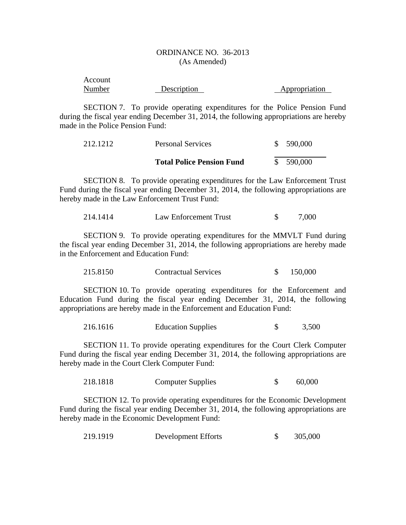| Account |             |               |
|---------|-------------|---------------|
| Number  | Description | Appropriation |

SECTION 7. To provide operating expenditures for the Police Pension Fund during the fiscal year ending December 31, 2014, the following appropriations are hereby made in the Police Pension Fund:

| 212.1212 | <b>Personal Services</b>         | \$590,000 |
|----------|----------------------------------|-----------|
|          | <b>Total Police Pension Fund</b> | \$590,000 |

SECTION 8. To provide operating expenditures for the Law Enforcement Trust Fund during the fiscal year ending December 31, 2014, the following appropriations are hereby made in the Law Enforcement Trust Fund:

214.1414 Law Enforcement Trust \$ 7,000

SECTION 9. To provide operating expenditures for the MMVLT Fund during the fiscal year ending December 31, 2014, the following appropriations are hereby made in the Enforcement and Education Fund:

215.8150 Contractual Services \$ 150,000

SECTION 10. To provide operating expenditures for the Enforcement and Education Fund during the fiscal year ending December 31, 2014, the following appropriations are hereby made in the Enforcement and Education Fund:

216.1616 Education Supplies \$ 3,500

SECTION 11. To provide operating expenditures for the Court Clerk Computer Fund during the fiscal year ending December 31, 2014, the following appropriations are hereby made in the Court Clerk Computer Fund:

218.1818 Computer Supplies \$ 60,000

SECTION 12. To provide operating expenditures for the Economic Development Fund during the fiscal year ending December 31, 2014, the following appropriations are hereby made in the Economic Development Fund:

| 219.1919 | Development Efforts |  | 305,000 |
|----------|---------------------|--|---------|
|----------|---------------------|--|---------|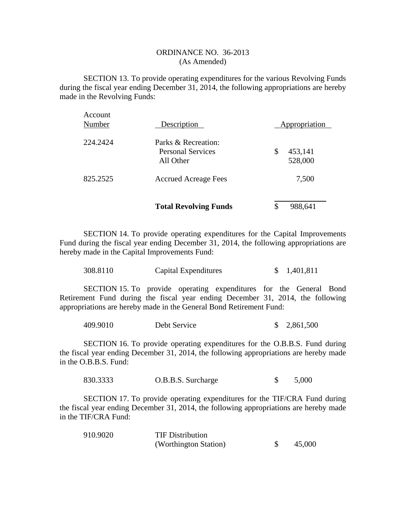SECTION 13. To provide operating expenditures for the various Revolving Funds during the fiscal year ending December 31, 2014, the following appropriations are hereby made in the Revolving Funds:

|                   | <b>Total Revolving Funds</b>          | \$<br>988,641            |  |
|-------------------|---------------------------------------|--------------------------|--|
| 825.2525          | <b>Accrued Acreage Fees</b>           | 7,500                    |  |
|                   | <b>Personal Services</b><br>All Other | \$<br>453,141<br>528,000 |  |
| 224.2424          | Parks & Recreation:                   |                          |  |
| Account<br>Number | Description                           | Appropriation            |  |

SECTION 14. To provide operating expenditures for the Capital Improvements Fund during the fiscal year ending December 31, 2014, the following appropriations are hereby made in the Capital Improvements Fund:

| 308.8110 | Capital Expenditures | \$1,401,811 |
|----------|----------------------|-------------|
|----------|----------------------|-------------|

SECTION 15. To provide operating expenditures for the General Bond Retirement Fund during the fiscal year ending December 31, 2014, the following appropriations are hereby made in the General Bond Retirement Fund:

| 409.9010 | Debt Service | \$2,861,500 |
|----------|--------------|-------------|
|----------|--------------|-------------|

SECTION 16. To provide operating expenditures for the O.B.B.S. Fund during the fiscal year ending December 31, 2014, the following appropriations are hereby made in the O.B.B.S. Fund:

830.3333 O.B.B.S. Surcharge \$ 5,000

SECTION 17. To provide operating expenditures for the TIF/CRA Fund during the fiscal year ending December 31, 2014, the following appropriations are hereby made in the TIF/CRA Fund:

| 910.9020 | <b>TIF Distribution</b> |        |
|----------|-------------------------|--------|
|          | (Worthington Station)   | 45,000 |